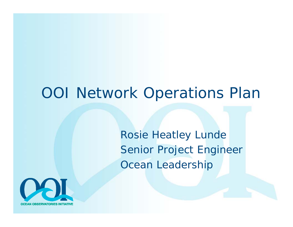#### OOI Network Operations Plan

Rosie Heatley Lunde Senior Project Engineer Ocean Leadership

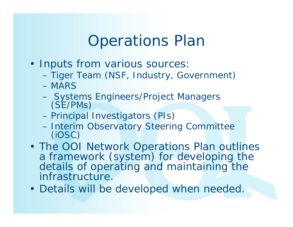# Operations Plan

- Inputs from various sources:
	- –Tiger Team (NSF, Industry, Government)
	- MARS
	- –Systems Engineers/Project Managers (SE/PMs)
	- –Principal Investigators (PIs)
	- –Interim Observatory Steering Committee (iOSC)
- The OOI Network Operations Plan outlines a framework (system) for developing the details of operating and maintaining the infrastructure.
- Details will be developed when needed.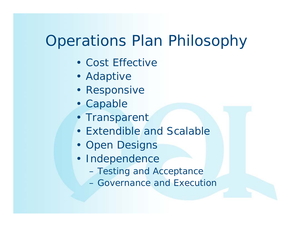# Operations Plan Philosophy

- Cost Effective
- Adaptive
- Responsive
- Capable
- Transparent
- Extendible and Scalable
- Open Designs
- Independence
	- –Testing and Acceptance
	- Governance and Execution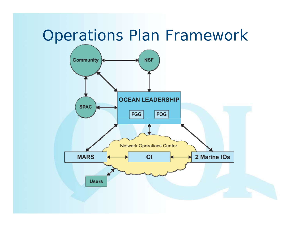### Operations Plan Framework

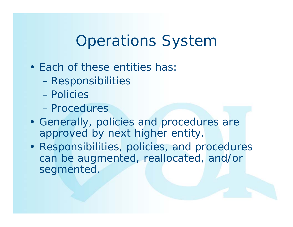# Operations System

- Each of these entities has:
	- –Responsibilities
	- Policies
	- Procedures
- Generally, policies and procedures are approved by next higher entity.
- Responsibilities, policies, and procedures can be augmented, reallocated, and/or segmented.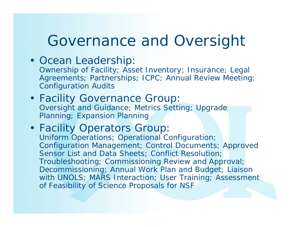### Governance and Oversight

• Ocean Leadership:

Ownership of Facility; Asset Inventory; Insurance; Legal Agreements; Partnerships; ICPC; Annual Review Meeting; Configuration Audits

- Facility Governance Group: Oversight and Guidance; Metrics Setting; Upgrade Planning; Expansion Planning
- Facility Operators Group: Uniform Operations; Operational Configuration; Configuration Management; Control Documents; Approved Sensor List and Data Sheets; Conflict Resolution; Troubleshooting; Commissioning Review and Approval; Decommissioning; Annual Work Plan and Budget; Liaison with UNOLS; MARS Interaction; User Training; Assessment of Feasibility of Science Proposals for NSF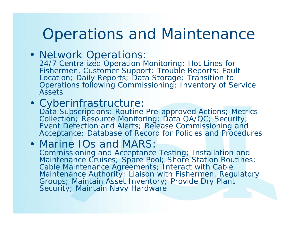## Operations and Maintenance

• Network Operations:

24/7 Centralized Operation Monitoring; Hot Lines for Fishermen, Customer Support; Trouble Reports; Fault Location; Daily Reports; Data Storage; Transition to Operations following Commissioning; Inventory of Service Assets

#### • Cyberinfrastructure:

Data Subscriptions; Routine Pre-approved Actions; Metrics Collection; Resource Monitoring; Data QA/QC; Security; Event Detection and Alerts; Release Commissioning and Acceptance; Database of Record for Policies and Procedures

#### • Marine IOs and MARS: Commissioning and Acceptance Testing; Installation and Maintenance Cruises; Spare Pool; Shore Station Routines; Cable Maintenance Agreements; Interact with Cable Maintenance Authority; Liaison with Fishermen, Regulatory Groups; Maintain Asset Inventory; Provide Dry Plant

Security; Maintain Navy Hardware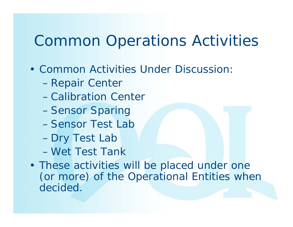# Common Operations Activities

- Common Activities Under Discussion:
	- –Repair Center
	- Calibration Center
	- –Sensor Sparing
	- Sensor Test Lab
	- –Dry Test Lab
	- Wet Test Tank
- These activities will be placed under one (or more) of the Operational Entities when decided.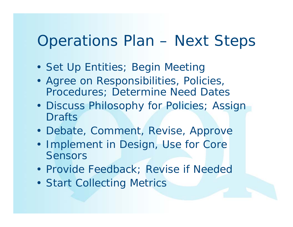# Operations Plan – Next Steps

- Set Up Entities; Begin Meeting
- Agree on Responsibilities, Policies, Procedures; Determine Need Dates
- Discuss Philosophy for Policies; Assign **Drafts**
- Debate, Comment, Revise, Approve
- Implement in Design, Use for Core Sensors
- Provide Feedback; Revise if Needec
- Start Collecting Metrics